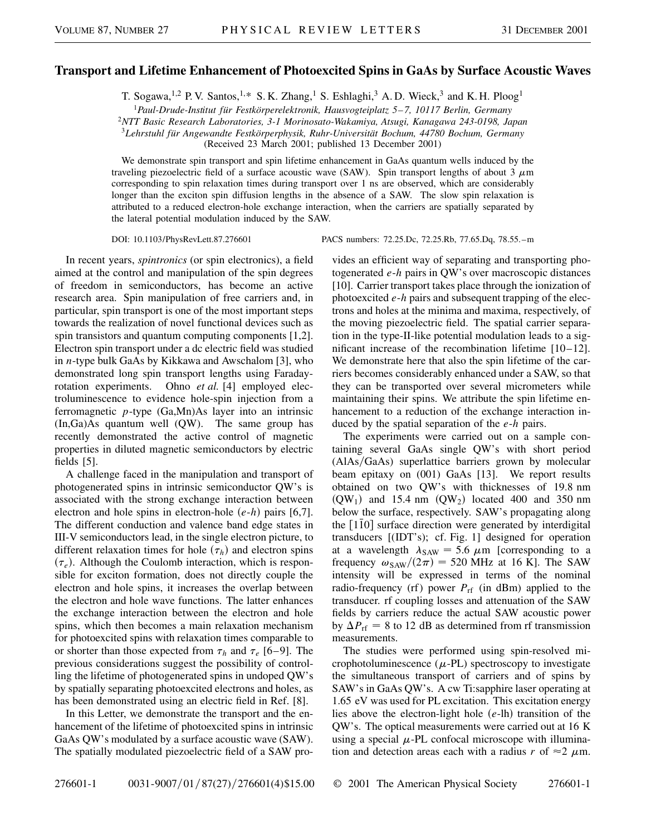## **Transport and Lifetime Enhancement of Photoexcited Spins in GaAs by Surface Acoustic Waves**

T. Sogawa,<sup>1,2</sup> P. V. Santos,<sup>1,\*</sup> S. K. Zhang,<sup>1</sup> S. Eshlaghi,<sup>3</sup> A. D. Wieck,<sup>3</sup> and K. H. Ploog<sup>1</sup>

<sup>1</sup>*Paul-Drude-Institut für Festkörperelektronik, Hausvogteiplatz 5–7, 10117 Berlin, Germany*

<sup>2</sup>*NTT Basic Research Laboratories, 3-1 Morinosato-Wakamiya, Atsugi, Kanagawa 243-0198, Japan*

<sup>3</sup>*Lehrstuhl für Angewandte Festkörperphysik, Ruhr-Universität Bochum, 44780 Bochum, Germany*

(Received 23 March 2001; published 13 December 2001)

We demonstrate spin transport and spin lifetime enhancement in GaAs quantum wells induced by the traveling piezoelectric field of a surface acoustic wave (SAW). Spin transport lengths of about 3  $\mu$ m corresponding to spin relaxation times during transport over 1 ns are observed, which are considerably longer than the exciton spin diffusion lengths in the absence of a SAW. The slow spin relaxation is attributed to a reduced electron-hole exchange interaction, when the carriers are spatially separated by the lateral potential modulation induced by the SAW.

DOI: 10.1103/PhysRevLett.87.276601 PACS numbers: 72.25.Dc, 72.25.Rb, 77.65.Dq, 78.55.–m

In recent years, *spintronics* (or spin electronics), a field aimed at the control and manipulation of the spin degrees of freedom in semiconductors, has become an active research area. Spin manipulation of free carriers and, in particular, spin transport is one of the most important steps towards the realization of novel functional devices such as spin transistors and quantum computing components [1,2]. Electron spin transport under a dc electric field was studied in *n*-type bulk GaAs by Kikkawa and Awschalom [3], who demonstrated long spin transport lengths using Faradayrotation experiments. Ohno *et al.* [4] employed electroluminescence to evidence hole-spin injection from a ferromagnetic *p*-type (Ga,Mn)As layer into an intrinsic (In,Ga)As quantum well (QW). The same group has recently demonstrated the active control of magnetic properties in diluted magnetic semiconductors by electric fields [5].

A challenge faced in the manipulation and transport of photogenerated spins in intrinsic semiconductor QW's is associated with the strong exchange interaction between electron and hole spins in electron-hole  $(e-h)$  pairs [6,7]. The different conduction and valence band edge states in III-V semiconductors lead, in the single electron picture, to different relaxation times for hole  $(\tau_h)$  and electron spins  $(\tau_e)$ . Although the Coulomb interaction, which is responsible for exciton formation, does not directly couple the electron and hole spins, it increases the overlap between the electron and hole wave functions. The latter enhances the exchange interaction between the electron and hole spins, which then becomes a main relaxation mechanism for photoexcited spins with relaxation times comparable to or shorter than those expected from  $\tau_h$  and  $\tau_e$  [6–9]. The previous considerations suggest the possibility of controlling the lifetime of photogenerated spins in undoped QW's by spatially separating photoexcited electrons and holes, as has been demonstrated using an electric field in Ref. [8].

In this Letter, we demonstrate the transport and the enhancement of the lifetime of photoexcited spins in intrinsic GaAs QW's modulated by a surface acoustic wave (SAW). The spatially modulated piezoelectric field of a SAW provides an efficient way of separating and transporting photogenerated *e*-*h* pairs in QW's over macroscopic distances [10]. Carrier transport takes place through the ionization of photoexcited *e*-*h* pairs and subsequent trapping of the electrons and holes at the minima and maxima, respectively, of the moving piezoelectric field. The spatial carrier separation in the type-II-like potential modulation leads to a significant increase of the recombination lifetime [10–12]. We demonstrate here that also the spin lifetime of the carriers becomes considerably enhanced under a SAW, so that they can be transported over several micrometers while maintaining their spins. We attribute the spin lifetime enhancement to a reduction of the exchange interaction induced by the spatial separation of the *e*-*h* pairs.

The experiments were carried out on a sample containing several GaAs single QW's with short period  $(AIAs/GaAs)$  superlattice barriers grown by molecular beam epitaxy on (001) GaAs [13]. We report results obtained on two QW's with thicknesses of 19.8 nm  $(QW_1)$  and 15.4 nm  $(QW_2)$  located 400 and 350 nm below the surface, respectively. SAW's propagating along the  $[1\bar{1}0]$  surface direction were generated by interdigital transducers [(IDT's); cf. Fig. 1] designed for operation at a wavelength  $\lambda_{SAW} = 5.6 \mu m$  [corresponding to a frequency  $\omega_{SAW}/(2\pi) = 520$  MHz at 16 K]. The SAW intensity will be expressed in terms of the nominal radio-frequency (rf) power  $P_{\text{rf}}$  (in dBm) applied to the transducer. rf coupling losses and attenuation of the SAW fields by carriers reduce the actual SAW acoustic power by  $\Delta P_{\text{rf}} = 8$  to 12 dB as determined from rf transmission measurements.

The studies were performed using spin-resolved microphotoluminescence  $(\mu$ -PL) spectroscopy to investigate the simultaneous transport of carriers and of spins by SAW's in GaAs QW's. A cw Ti:sapphire laser operating at 1.65 eV was used for PL excitation. This excitation energy lies above the electron-light hole (e-lh) transition of the QW's. The optical measurements were carried out at 16 K using a special  $\mu$ -PL confocal microscope with illumination and detection areas each with a radius  $r$  of  $\approx 2 \mu$ m.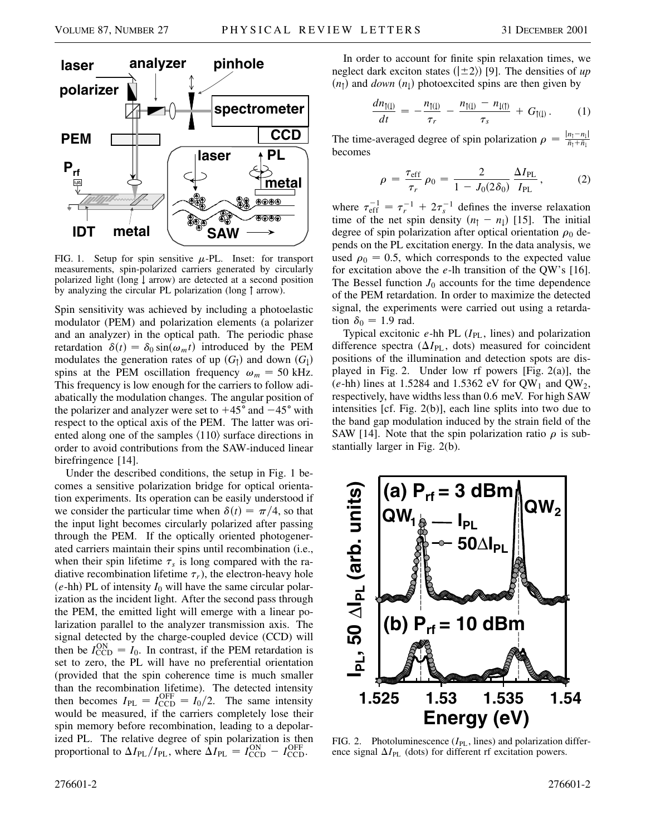

FIG. 1. Setup for spin sensitive  $\mu$ -PL. Inset: for transport measurements, spin-polarized carriers generated by circularly polarized light (long  $\downarrow$  arrow) are detected at a second position by analyzing the circular PL polarization (long  $\uparrow$  arrow).

Spin sensitivity was achieved by including a photoelastic modulator (PEM) and polarization elements (a polarizer and an analyzer) in the optical path. The periodic phase retardation  $\delta(t) = \delta_0 \sin(\omega_m t)$  introduced by the PEM modulates the generation rates of up  $(G_1)$  and down  $(G_1)$ spins at the PEM oscillation frequency  $\omega_m = 50$  kHz. This frequency is low enough for the carriers to follow adiabatically the modulation changes. The angular position of the polarizer and analyzer were set to  $+45^{\circ}$  and  $-45^{\circ}$  with respect to the optical axis of the PEM. The latter was oriented along one of the samples  $\langle 110 \rangle$  surface directions in order to avoid contributions from the SAW-induced linear birefringence [14].

Under the described conditions, the setup in Fig. 1 becomes a sensitive polarization bridge for optical orientation experiments. Its operation can be easily understood if we consider the particular time when  $\delta(t) = \pi/4$ , so that the input light becomes circularly polarized after passing through the PEM. If the optically oriented photogenerated carriers maintain their spins until recombination (i.e., when their spin lifetime  $\tau_s$  is long compared with the radiative recombination lifetime  $\tau_r$ ), the electron-heavy hole  $(e$ -hh) PL of intensity  $I_0$  will have the same circular polarization as the incident light. After the second pass through the PEM, the emitted light will emerge with a linear polarization parallel to the analyzer transmission axis. The signal detected by the charge-coupled device (CCD) will then be  $I_{\text{CCD}}^{\text{ON}} = I_0$ . In contrast, if the PEM retardation is set to zero, the PL will have no preferential orientation (provided that the spin coherence time is much smaller than the recombination lifetime). The detected intensity then becomes  $I_{PL} = I_{CCD}^{OFF} = I_0/2$ . The same intensity would be measured, if the carriers completely lose their spin memory before recombination, leading to a depolarized PL. The relative degree of spin polarization is then proportional to  $\Delta I_{PL}/I_{PL}$ , where  $\Delta I_{PL} = I_{CCD}^{ON} - I_{CCD}^{OFF}$ .

In order to account for finite spin relaxation times, we neglect dark exciton states  $(|\pm 2\rangle)$  [9]. The densities of *up*  $(n_1)$  and *down*  $(n_1)$  photoexcited spins are then given by

$$
\frac{dn_{\uparrow(\downarrow)}}{dt} = -\frac{n_{\uparrow(\downarrow)}}{\tau_r} - \frac{n_{\uparrow(\downarrow)} - n_{\downarrow(\uparrow)}}{\tau_s} + G_{\uparrow(\downarrow)}.
$$
 (1)

The time-averaged degree of spin polarization  $\rho = \frac{|n_1 - n_1|}{\bar{n}_1 + \bar{n}_1}$ becomes

$$
\rho = \frac{\tau_{\rm eff}}{\tau_r} \rho_0 = \frac{2}{1 - J_0(2\delta_0)} \frac{\Delta I_{\rm PL}}{I_{\rm PL}},
$$
 (2)

where  $\tau_{\text{eff}}^{-1} = \tau_r^{-1} + 2\tau_s^{-1}$  defines the inverse relaxation time of the net spin density  $(n_1 - n_1)$  [15]. The initial degree of spin polarization after optical orientation  $\rho_0$  depends on the PL excitation energy. In the data analysis, we used  $\rho_0 = 0.5$ , which corresponds to the expected value for excitation above the *e*-lh transition of the QW's [16]. The Bessel function  $J_0$  accounts for the time dependence of the PEM retardation. In order to maximize the detected signal, the experiments were carried out using a retardation  $\delta_0 = 1.9$  rad.

Typical excitonic *e*-hh PL ( $I_{PL}$ , lines) and polarization difference spectra  $(\Delta I_{PL}, \text{ dots})$  measured for coincident positions of the illumination and detection spots are displayed in Fig. 2. Under low rf powers [Fig. 2(a)], the  $(e-hh)$  lines at 1.5284 and 1.5362 eV for QW<sub>1</sub> and QW<sub>2</sub>, respectively, have widths less than 0.6 meV. For high SAW intensities [cf. Fig. 2(b)], each line splits into two due to the band gap modulation induced by the strain field of the SAW [14]. Note that the spin polarization ratio  $\rho$  is substantially larger in Fig. 2(b).



FIG. 2. Photoluminescence ( $I_{PL}$ , lines) and polarization difference signal  $\Delta I_{\rm PL}$  (dots) for different rf excitation powers.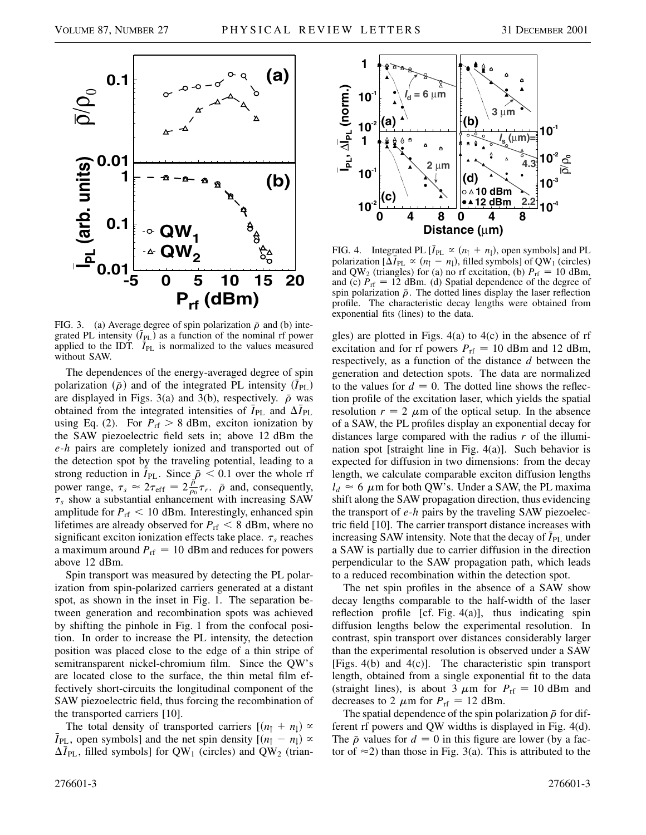

FIG. 3. (a) Average degree of spin polarization  $\bar{\rho}$  and (b) integrated PL intensity  $(\bar{I}_{PL})$  as a function of the nominal rf power applied to the IDT.  $\overline{I}_{PL}$  is normalized to the values measured without SAW.

The dependences of the energy-averaged degree of spin polarization  $(\bar{\rho})$  and of the integrated PL intensity  $(\bar{I}_{PL})$ are displayed in Figs. 3(a) and 3(b), respectively.  $\bar{\rho}$  was obtained from the integrated intensities of  $\bar{I}_{PL}$  and  $\Delta \bar{I}_{PL}$ using Eq. (2). For  $P_{\text{rf}} > 8$  dBm, exciton ionization by the SAW piezoelectric field sets in; above 12 dBm the *e*-*h* pairs are completely ionized and transported out of the detection spot by the traveling potential, leading to a strong reduction in  $\overline{I}_{PL}$ . Since  $\overline{\rho}$  < 0.1 over the whole rf power range,  $\tau_s \approx 2\tau_{\text{eff}} = 2\frac{\rho}{\rho_0}\tau_r$ .  $\bar{\rho}$  and, consequently,  $\tau_s$  show a substantial enhancement with increasing SAW amplitude for  $P_{\text{rf}} < 10$  dBm. Interestingly, enhanced spin lifetimes are already observed for  $P_{\text{rf}} < 8$  dBm, where no significant exciton ionization effects take place.  $\tau_s$  reaches a maximum around  $P_{\text{rf}} = 10$  dBm and reduces for powers above 12 dBm.

Spin transport was measured by detecting the PL polarization from spin-polarized carriers generated at a distant spot, as shown in the inset in Fig. 1. The separation between generation and recombination spots was achieved by shifting the pinhole in Fig. 1 from the confocal position. In order to increase the PL intensity, the detection position was placed close to the edge of a thin stripe of semitransparent nickel-chromium film. Since the QW's are located close to the surface, the thin metal film effectively short-circuits the longitudinal component of the SAW piezoelectric field, thus forcing the recombination of the transported carriers [10].

The total density of transported carriers  $[(n_1 + n_1) \propto \bar{I}_{\text{PI}}]$ , open symbolsl and the net spin density  $[(n_1 - n_1) \propto$  $\bar{I}_{PL}$ , open symbols] and the net spin density  $[(n_{\uparrow} - n_{\downarrow}) \propto$  $\Delta \bar{I}_{PL}$ , filled symbols] for QW<sub>1</sub> (circles) and QW<sub>2</sub> (trian-



FIG. 4. Integrated PL  $[\bar{I}_{PL} \propto (n_1 + n_1)]$ , open symbols] and PL polarization  $[\Delta \bar{I}_{PL} \propto (n_{\uparrow} - n_{\downarrow})$ , filled symbols] of QW<sub>1</sub> (circles) and QW<sub>2</sub> (triangles) for (a) no rf excitation, (b)  $P_{\text{rf}} = 10$  dBm, and (c)  $P_{\text{rf}} = 12$  dBm. (d) Spatial dependence of the degree of spin polarization  $\bar{\rho}$ . The dotted lines display the laser reflection profile. The characteristic decay lengths were obtained from exponential fits (lines) to the data.

gles) are plotted in Figs. 4(a) to 4(c) in the absence of rf excitation and for rf powers  $P_{\text{rf}} = 10$  dBm and 12 dBm, respectively, as a function of the distance *d* between the generation and detection spots. The data are normalized to the values for  $d = 0$ . The dotted line shows the reflection profile of the excitation laser, which yields the spatial resolution  $r = 2 \mu m$  of the optical setup. In the absence of a SAW, the PL profiles display an exponential decay for distances large compared with the radius *r* of the illumination spot [straight line in Fig. 4(a)]. Such behavior is expected for diffusion in two dimensions: from the decay length, we calculate comparable exciton diffusion lengths  $l_d \approx 6 \mu$ m for both QW's. Under a SAW, the PL maxima shift along the SAW propagation direction, thus evidencing the transport of *e*-*h* pairs by the traveling SAW piezoelectric field [10]. The carrier transport distance increases with increasing SAW intensity. Note that the decay of  $\bar{I}_{PL}$  under a SAW is partially due to carrier diffusion in the direction perpendicular to the SAW propagation path, which leads to a reduced recombination within the detection spot.

The net spin profiles in the absence of a SAW show decay lengths comparable to the half-width of the laser reflection profile [cf. Fig. 4(a)], thus indicating spin diffusion lengths below the experimental resolution. In contrast, spin transport over distances considerably larger than the experimental resolution is observed under a SAW [Figs. 4(b) and 4(c)]. The characteristic spin transport length, obtained from a single exponential fit to the data (straight lines), is about 3  $\mu$ m for  $P_{\text{rf}} = 10$  dBm and decreases to 2  $\mu$ m for  $P_{\text{rf}} = 12$  dBm.

The spatial dependence of the spin polarization  $\bar{\rho}$  for different rf powers and QW widths is displayed in Fig. 4(d). The  $\bar{\rho}$  values for  $d = 0$  in this figure are lower (by a factor of  $\approx$  2) than those in Fig. 3(a). This is attributed to the